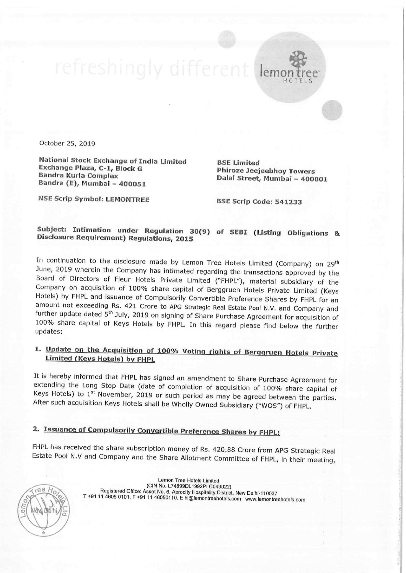October 25, 2019

National Stock Exchange of India Limited BSE Limited<br>Exchange Plaza, C-1, Block G Phiroze Jeejeebhoy Towers<br>Bandra (E), Mumbai - 400051 Dalal Street, Mumbai - 400001

NSE Scrip Symbol: LEMONTREE BSE Scrip Code: <sup>541233</sup>

1

emontree' HOTELS

## Subject: Intimation under Regulation 30(9) of SEBI (Listing Obligations & Disclosure Requirement) Regulations, 2015

In continuation to the disclosure made by Lemon Tree Hotels Limited (Company) on  $29^{\text{th}}$ <br>June, 2019 wherein the Company has intimated regarding the transactions approved by the<br>Board of Directors of Fleur Hotels Privat

## 1. Update on the Acquisition of 100% Voting rights of Berggruen Hotels Private Limited (Keys Hotels) by FHPL

It is hereby informed that FHPL has signed an amendment to Share Purchase Agreement for extending the Long Stop Date (date of completion of acquisition of 100% share capital of Keys Hotels) to  $1^{st}$  November, 2019 or suc

## 2. Issuance of Compulsorily Convertible Preference Shares by FHPL:

FHPL has received the share subscription money of Rs. 420.88 Crore from APG Strategic Real Estate Pool N.V and Company and the Share Allotment Committee of FHPL, in their meeting,



Lemon Tree Hotels Limited<br>(CIN No. L74899DL1992PLC049022) Registered Office: Asset No. 6, Aerocity Hospitality District, New Delhi-110037 T +91 11 4605 0101, F +91 11 46050110. E hi@lemontreehotels.com www.lemontreehotels.com